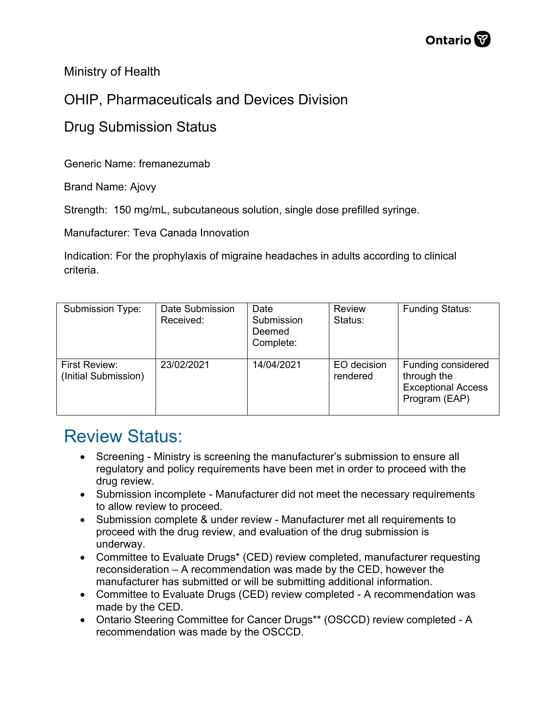

Ministry of Health

## OHIP, Pharmaceuticals and Devices Division

## Drug Submission Status

Generic Name: fremanezumab

Brand Name: Ajovy

Strength: 150 mg/mL, subcutaneous solution, single dose prefilled syringe.

Manufacturer: Teva Canada Innovation

Indication: For the prophylaxis of migraine headaches in adults according to clinical criteria.

| Submission Type:                      | Date Submission<br>Received: | Date<br>Submission<br>Deemed<br>Complete: | <b>Review</b><br>Status: | <b>Funding Status:</b>                                                          |
|---------------------------------------|------------------------------|-------------------------------------------|--------------------------|---------------------------------------------------------------------------------|
| First Review:<br>(Initial Submission) | 23/02/2021                   | 14/04/2021                                | EO decision<br>rendered  | Funding considered<br>through the<br><b>Exceptional Access</b><br>Program (EAP) |

## Review Status:

- Screening Ministry is screening the manufacturer's submission to ensure all regulatory and policy requirements have been met in order to proceed with the drug review.
- Submission incomplete Manufacturer did not meet the necessary requirements to allow review to proceed.
- Submission complete & under review Manufacturer met all requirements to proceed with the drug review, and evaluation of the drug submission is underway.
- Committee to Evaluate Drugs\* (CED) review completed, manufacturer requesting reconsideration – A recommendation was made by the CED, however the manufacturer has submitted or will be submitting additional information.
- Committee to Evaluate Drugs (CED) review completed A recommendation was made by the CED.
- Ontario Steering Committee for Cancer Drugs\*\* (OSCCD) review completed A recommendation was made by the OSCCD.